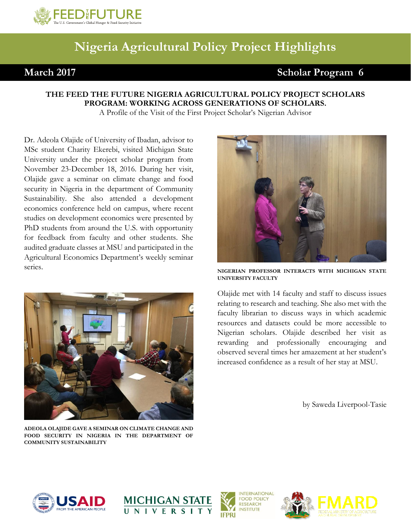

## **Nigeria Agricultural Policy Project Highlights**

## **March** 2017 Scholar Program 6

## **THE FEED THE FUTURE NIGERIA AGRICULTURAL POLICY PROJECT SCHOLARS PROGRAM: WORKING ACROSS GENERATIONS OF SCHOLARS.**

A Profile of the Visit of the First Project Scholar's Nigerian Advisor

Dr. Adeola Olajide of University of Ibadan, advisor to MSc student Charity Ekerebi, visited Michigan State University under the project scholar program from November 23-December 18, 2016. During her visit, Olajide gave a seminar on climate change and food security in Nigeria in the department of Community Sustainability. She also attended a development economics conference held on campus, where recent studies on development economics were presented by PhD students from around the U.S. with opportunity for feedback from faculty and other students. She audited graduate classes at MSU and participated in the Agricultural Economics Department's weekly seminar series.



**ADEOLA OLAJIDE GAVE A SEMINAR ON CLIMATE CHANGE AND FOOD SECURITY IN NIGERIA IN THE DEPARTMENT OF COMMUNITY SUSTAINABILITY**



**NIGERIAN PROFESSOR INTERACTS WITH MICHIGAN STATE UNIVERSITY FACULTY**

Olajide met with 14 faculty and staff to discuss issues relating to research and teaching. She also met with the faculty librarian to discuss ways in which academic resources and datasets could be more accessible to Nigerian scholars. Olajide described her visit as rewarding and professionally encouraging and observed several times her amazement at her student's increased confidence as a result of her stay at MSU.

by Saweda Liverpool-Tasie